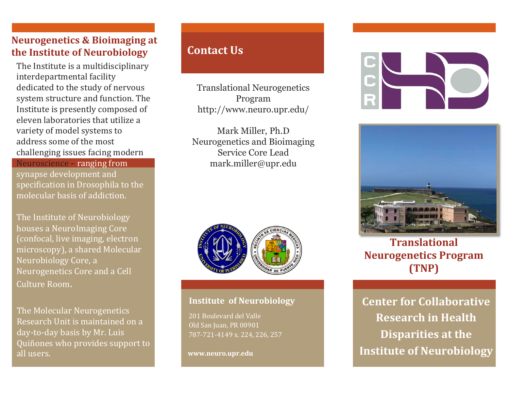## **Neurogenetics & Bioimaging at the Institute of Neurobiology**

The Institute is a multidisciplinary interdepartmental facility dedicated to the study of nervous system structure and function. The Institute is presently composed of eleven laboratories that utilize a variety of model systems to address some of the most challenging issues facing modern

Neuroscience – ranging from synapse development and specification in Drosophila to the molecular basis of addiction.

The Institute of Neurobiology houses a NeuroImaging Core (confocal, live imaging, electron microscopy), a shared Molecular Neurobiology Core, a Neurogenetics Core and a Cell Culture Room.

The Molecular Neurogenetics Research Unit is maintained on a day-to-day basis by Mr. Luis Quiñones who provides support to all users.

# **Contact Us**

Translational Neurogenetics Program http://www.neuro.upr.edu/

Mark Miller, Ph.D Neurogenetics and Bioimaging Service Core Lead mark.miller@upr.edu



#### **Institute of Neurobiology**

201 Boulevard del Valle Old San Juan, PR 00901 787-721-4149 x. 224, 226, 257

**www.neuro.upr.edu**





**Translational Neurogenetics Program (TNP)** 

**Center for Collaborative Research in Health Disparities at the Institute of Neurobiology**